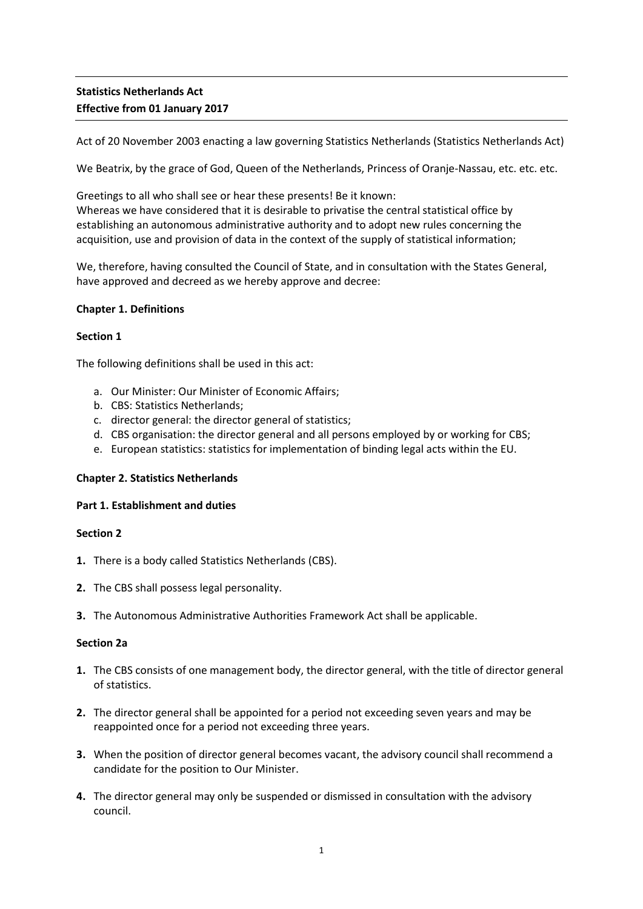# **Statistics Netherlands Act Effective from 01 January 2017**

Act of 20 November 2003 enacting a law governing Statistics Netherlands (Statistics Netherlands Act)

We Beatrix, by the grace of God, Queen of the Netherlands, Princess of Oranje-Nassau, etc. etc. etc.

Greetings to all who shall see or hear these presents! Be it known: Whereas we have considered that it is desirable to privatise the central statistical office by establishing an autonomous administrative authority and to adopt new rules concerning the acquisition, use and provision of data in the context of the supply of statistical information;

We, therefore, having consulted the Council of State, and in consultation with the States General, have approved and decreed as we hereby approve and decree:

### **Chapter 1. Definitions**

### **Section 1**

The following definitions shall be used in this act:

- a. Our Minister: Our Minister of Economic Affairs;
- b. CBS: Statistics Netherlands;
- c. director general: the director general of statistics;
- d. CBS organisation: the director general and all persons employed by or working for CBS;
- e. European statistics: statistics for implementation of binding legal acts within the EU.

### **Chapter 2. Statistics Netherlands**

### **Part 1. Establishment and duties**

### **Section 2**

- **1.** There is a body called Statistics Netherlands (CBS).
- **2.** The CBS shall possess legal personality.
- **3.** The Autonomous Administrative Authorities Framework Act shall be applicable.

### **Section 2a**

- **1.** The CBS consists of one management body, the director general, with the title of director general of statistics.
- **2.** The director general shall be appointed for a period not exceeding seven years and may be reappointed once for a period not exceeding three years.
- **3.** When the position of director general becomes vacant, the advisory council shall recommend a candidate for the position to Our Minister.
- **4.** The director general may only be suspended or dismissed in consultation with the advisory council.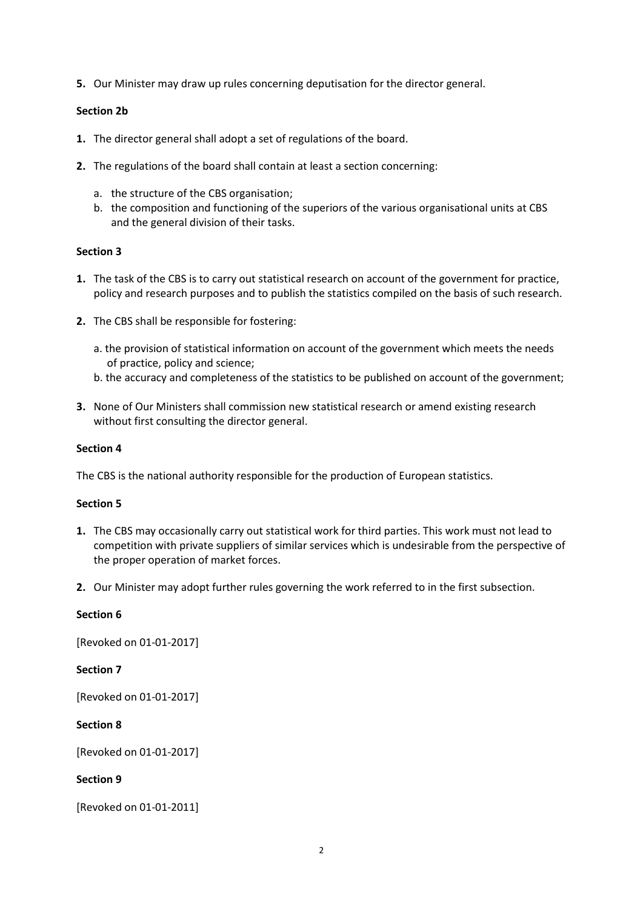**5.** Our Minister may draw up rules concerning deputisation for the director general.

### **Section 2b**

- **1.** The director general shall adopt a set of regulations of the board.
- **2.** The regulations of the board shall contain at least a section concerning:
	- a. the structure of the CBS organisation;
	- b. the composition and functioning of the superiors of the various organisational units at CBS and the general division of their tasks.

### **Section 3**

- **1.** The task of the CBS is to carry out statistical research on account of the government for practice, policy and research purposes and to publish the statistics compiled on the basis of such research.
- **2.** The CBS shall be responsible for fostering:
	- a. the provision of statistical information on account of the government which meets the needs of practice, policy and science;
	- b. the accuracy and completeness of the statistics to be published on account of the government;
- **3.** None of Our Ministers shall commission new statistical research or amend existing research without first consulting the director general.

### **Section 4**

The CBS is the national authority responsible for the production of European statistics.

### **Section 5**

- **1.** The CBS may occasionally carry out statistical work for third parties. This work must not lead to competition with private suppliers of similar services which is undesirable from the perspective of the proper operation of market forces.
- **2.** Our Minister may adopt further rules governing the work referred to in the first subsection.

### **Section 6**

[Revoked on 01-01-2017]

### **Section 7**

[Revoked on 01-01-2017]

### **Section 8**

[Revoked on 01-01-2017]

# **Section 9**

[Revoked on 01-01-2011]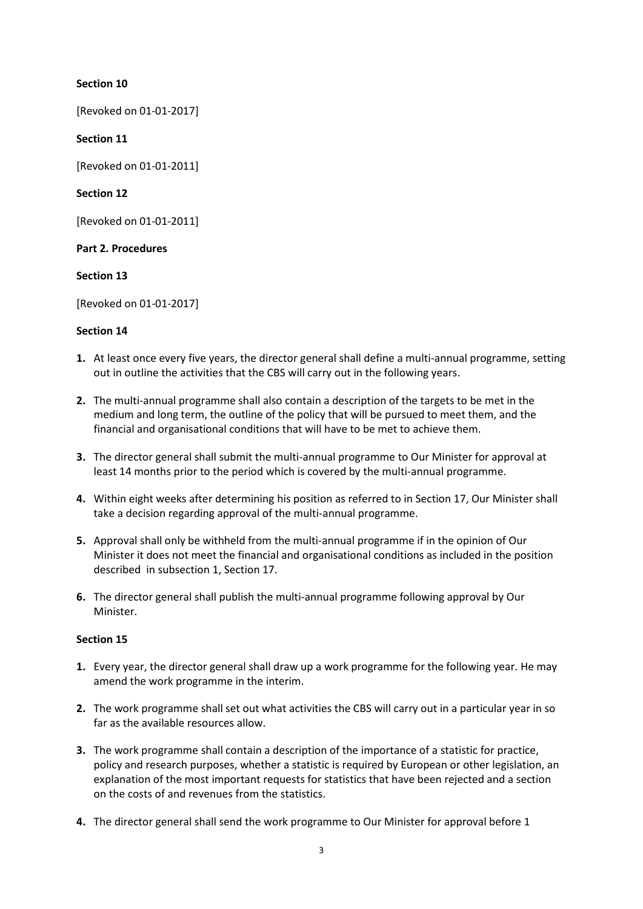# **Section 10**

[Revoked on 01-01-2017]

### **Section 11**

[Revoked on 01-01-2011]

### **Section 12**

[Revoked on 01-01-2011]

### **Part 2. Procedures**

### **Section 13**

[Revoked on 01-01-2017]

### **Section 14**

- **1.** At least once every five years, the director general shall define a multi-annual programme, setting out in outline the activities that the CBS will carry out in the following years.
- **2.** The multi-annual programme shall also contain a description of the targets to be met in the medium and long term, the outline of the policy that will be pursued to meet them, and the financial and organisational conditions that will have to be met to achieve them.
- **3.** The director general shall submit the multi-annual programme to Our Minister for approval at least 14 months prior to the period which is covered by the multi-annual programme.
- **4.** Within eight weeks after determining his position as referred to in Section 17, Our Minister shall take a decision regarding approval of the multi-annual programme.
- **5.** Approval shall only be withheld from the multi-annual programme if in the opinion of Our Minister it does not meet the financial and organisational conditions as included in the position described in subsection 1, Section 17.
- **6.** The director general shall publish the multi-annual programme following approval by Our Minister.

- **1.** Every year, the director general shall draw up a work programme for the following year. He may amend the work programme in the interim.
- **2.** The work programme shall set out what activities the CBS will carry out in a particular year in so far as the available resources allow.
- **3.** The work programme shall contain a description of the importance of a statistic for practice, policy and research purposes, whether a statistic is required by European or other legislation, an explanation of the most important requests for statistics that have been rejected and a section on the costs of and revenues from the statistics.
- **4.** The director general shall send the work programme to Our Minister for approval before 1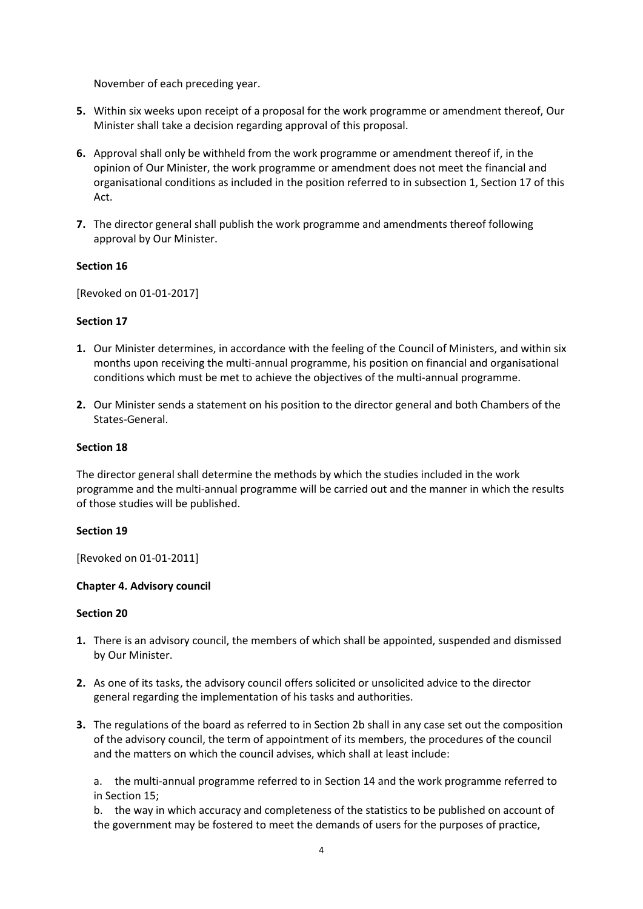November of each preceding year.

- **5.** Within six weeks upon receipt of a proposal for the work programme or amendment thereof, Our Minister shall take a decision regarding approval of this proposal.
- **6.** Approval shall only be withheld from the work programme or amendment thereof if, in the opinion of Our Minister, the work programme or amendment does not meet the financial and organisational conditions as included in the position referred to in subsection 1, Section 17 of this Act.
- **7.** The director general shall publish the work programme and amendments thereof following approval by Our Minister.

### **Section 16**

[Revoked on 01-01-2017]

### **Section 17**

- **1.** Our Minister determines, in accordance with the feeling of the Council of Ministers, and within six months upon receiving the multi-annual programme, his position on financial and organisational conditions which must be met to achieve the objectives of the multi-annual programme.
- **2.** Our Minister sends a statement on his position to the director general and both Chambers of the States-General.

### **Section 18**

The director general shall determine the methods by which the studies included in the work programme and the multi-annual programme will be carried out and the manner in which the results of those studies will be published.

### **Section 19**

[Revoked on 01-01-2011]

# **Chapter 4. Advisory council**

### **Section 20**

- **1.** There is an advisory council, the members of which shall be appointed, suspended and dismissed by Our Minister.
- **2.** As one of its tasks, the advisory council offers solicited or unsolicited advice to the director general regarding the implementation of his tasks and authorities.
- **3.** The regulations of the board as referred to in Section 2b shall in any case set out the composition of the advisory council, the term of appointment of its members, the procedures of the council and the matters on which the council advises, which shall at least include:

a. the multi-annual programme referred to in Section 14 and the work programme referred to in Section 15;

b. the way in which accuracy and completeness of the statistics to be published on account of the government may be fostered to meet the demands of users for the purposes of practice,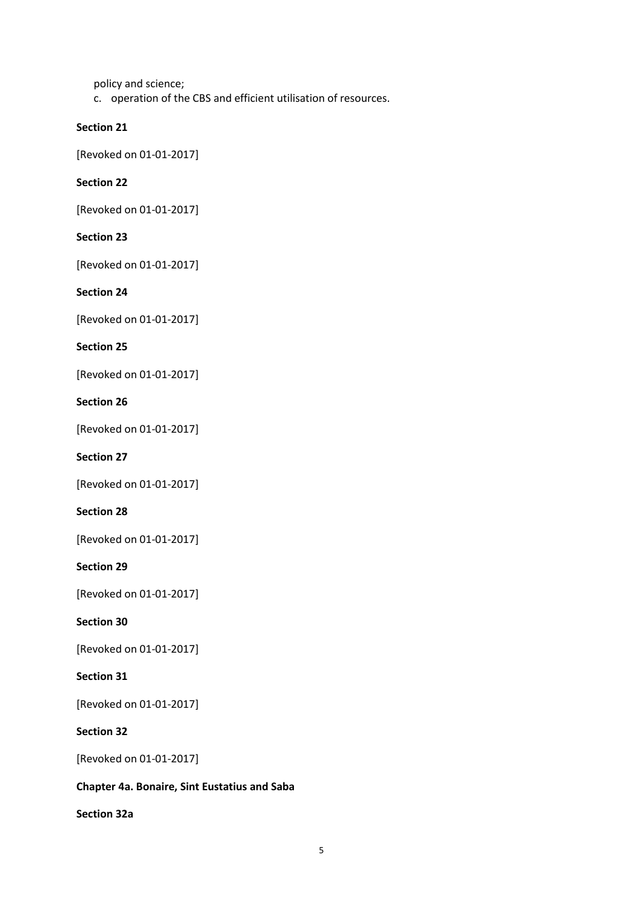policy and science;

c. operation of the CBS and efficient utilisation of resources.

### **Section 21**

[Revoked on 01-01-2017]

### **Section 22**

[Revoked on 01-01-2017]

### **Section 23**

[Revoked on 01-01-2017]

# **Section 24**

[Revoked on 01-01-2017]

### **Section 25**

[Revoked on 01-01-2017]

### **Section 26**

[Revoked on 01-01-2017]

# **Section 27**

[Revoked on 01-01-2017]

### **Section 28**

[Revoked on 01-01-2017]

### **Section 29**

[Revoked on 01-01-2017]

# **Section 30**

[Revoked on 01-01-2017]

### **Section 31**

[Revoked on 01-01-2017]

# **Section 32**

[Revoked on 01-01-2017]

### **Chapter 4a. Bonaire, Sint Eustatius and Saba**

## **Section 32a**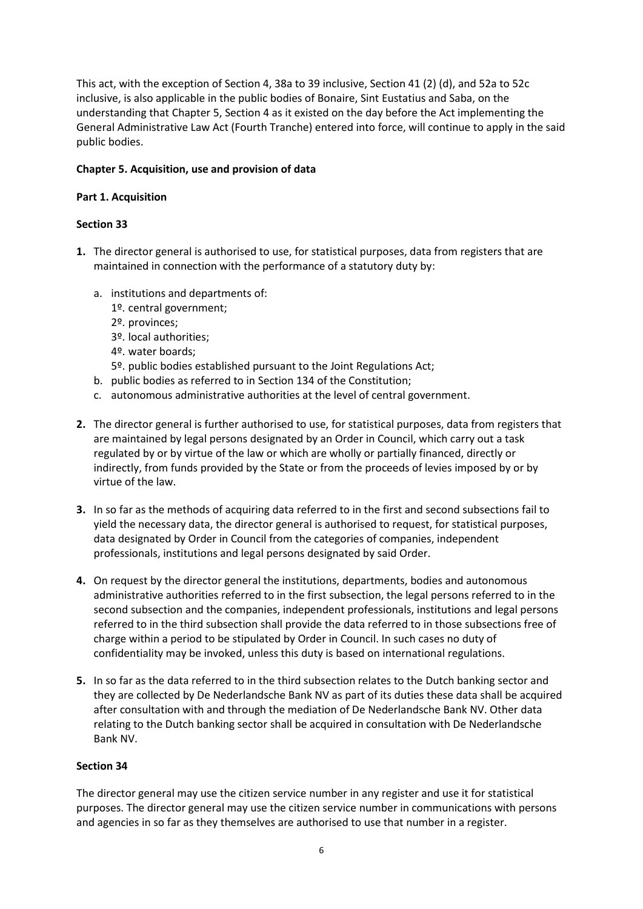This act, with the exception of Section 4, 38a to 39 inclusive, Section 41 (2) (d), and 52a to 52c inclusive, is also applicable in the public bodies of Bonaire, Sint Eustatius and Saba, on the understanding that Chapter 5, Section 4 as it existed on the day before the Act implementing the General Administrative Law Act (Fourth Tranche) entered into force, will continue to apply in the said public bodies.

## **Chapter 5. Acquisition, use and provision of data**

### **Part 1. Acquisition**

## **Section 33**

- **1.** The director general is authorised to use, for statistical purposes, data from registers that are maintained in connection with the performance of a statutory duty by:
	- a. institutions and departments of:
		- 1º. central government;
		- 2º. provinces;
		- 3º. local authorities;
		- 4º. water boards;
		- 5º. public bodies established pursuant to the Joint Regulations Act;
	- b. public bodies as referred to in Section 134 of the Constitution;
	- c. autonomous administrative authorities at the level of central government.
- **2.** The director general is further authorised to use, for statistical purposes, data from registers that are maintained by legal persons designated by an Order in Council, which carry out a task regulated by or by virtue of the law or which are wholly or partially financed, directly or indirectly, from funds provided by the State or from the proceeds of levies imposed by or by virtue of the law.
- **3.** In so far as the methods of acquiring data referred to in the first and second subsections fail to yield the necessary data, the director general is authorised to request, for statistical purposes, data designated by Order in Council from the categories of companies, independent professionals, institutions and legal persons designated by said Order.
- **4.** On request by the director general the institutions, departments, bodies and autonomous administrative authorities referred to in the first subsection, the legal persons referred to in the second subsection and the companies, independent professionals, institutions and legal persons referred to in the third subsection shall provide the data referred to in those subsections free of charge within a period to be stipulated by Order in Council. In such cases no duty of confidentiality may be invoked, unless this duty is based on international regulations.
- **5.** In so far as the data referred to in the third subsection relates to the Dutch banking sector and they are collected by De Nederlandsche Bank NV as part of its duties these data shall be acquired after consultation with and through the mediation of De Nederlandsche Bank NV. Other data relating to the Dutch banking sector shall be acquired in consultation with De Nederlandsche Bank NV.

### **Section 34**

The director general may use the citizen service number in any register and use it for statistical purposes. The director general may use the citizen service number in communications with persons and agencies in so far as they themselves are authorised to use that number in a register.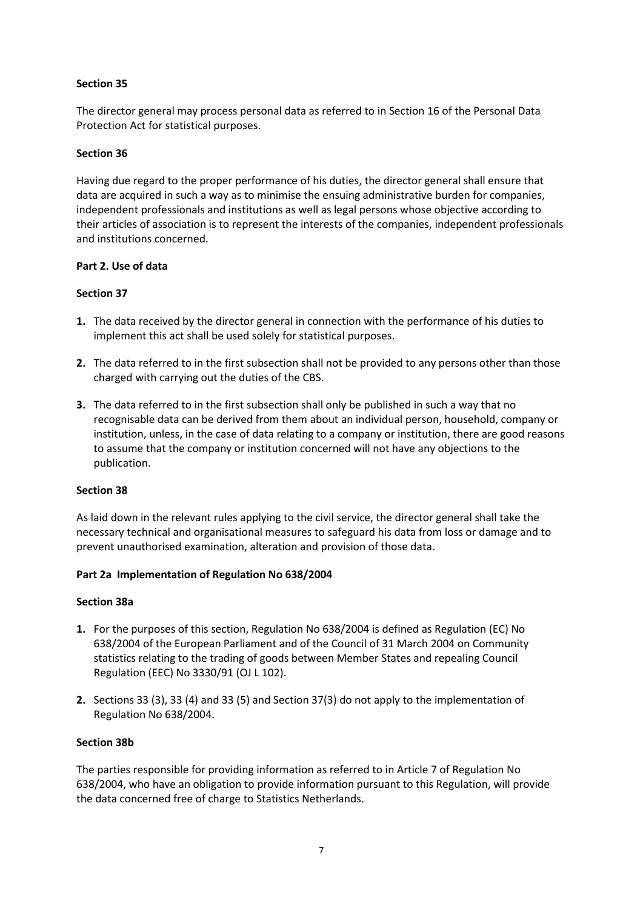# **Section 35**

The director general may process personal data as referred to in Section 16 of the Personal Data Protection Act for statistical purposes.

### **Section 36**

Having due regard to the proper performance of his duties, the director general shall ensure that data are acquired in such a way as to minimise the ensuing administrative burden for companies, independent professionals and institutions as well as legal persons whose objective according to their articles of association is to represent the interests of the companies, independent professionals and institutions concerned.

### **Part 2. Use of data**

### **Section 37**

- **1.** The data received by the director general in connection with the performance of his duties to implement this act shall be used solely for statistical purposes.
- **2.** The data referred to in the first subsection shall not be provided to any persons other than those charged with carrying out the duties of the CBS.
- **3.** The data referred to in the first subsection shall only be published in such a way that no recognisable data can be derived from them about an individual person, household, company or institution, unless, in the case of data relating to a company or institution, there are good reasons to assume that the company or institution concerned will not have any objections to the publication.

### **Section 38**

As laid down in the relevant rules applying to the civil service, the director general shall take the necessary technical and organisational measures to safeguard his data from loss or damage and to prevent unauthorised examination, alteration and provision of those data.

### **Part 2a Implementation of Regulation No 638/2004**

### **Section 38a**

- **1.** For the purposes of this section, Regulation No 638/2004 is defined as Regulation (EC) No 638/2004 of the European Parliament and of the Council of 31 March 2004 on Community statistics relating to the trading of goods between Member States and repealing Council Regulation (EEC) No 3330/91 (OJ L 102).
- **2.** Sections 33 (3), 33 (4) and 33 (5) and Section 37(3) do not apply to the implementation of Regulation No 638/2004.

### **Section 38b**

The parties responsible for providing information as referred to in Article 7 of Regulation No 638/2004, who have an obligation to provide information pursuant to this Regulation, will provide the data concerned free of charge to Statistics Netherlands.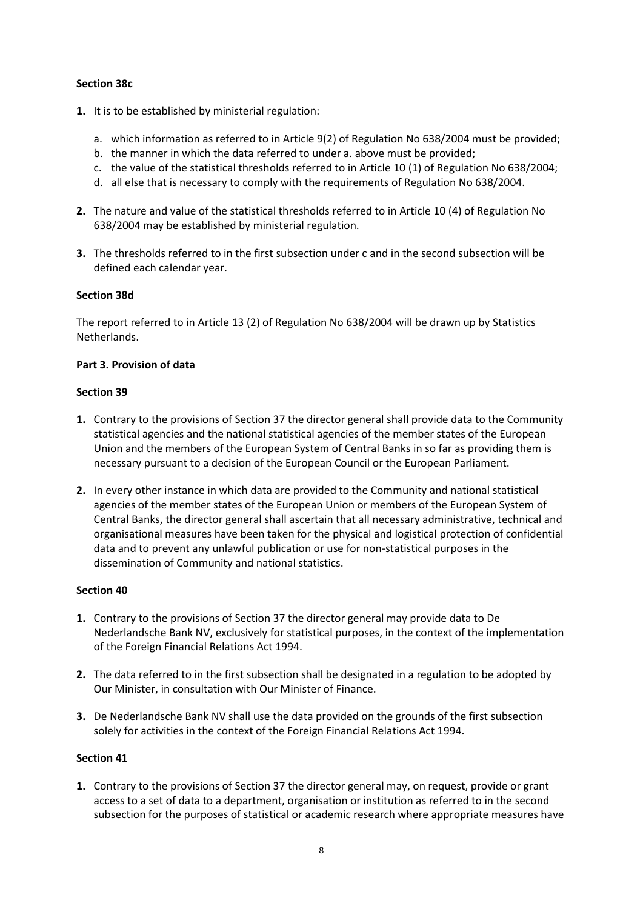# **Section 38c**

- **1.** It is to be established by ministerial regulation:
	- a. which information as referred to in Article 9(2) of Regulation No 638/2004 must be provided;
	- b. the manner in which the data referred to under a. above must be provided;
	- c. the value of the statistical thresholds referred to in Article 10 (1) of Regulation No 638/2004;
	- d. all else that is necessary to comply with the requirements of Regulation No 638/2004.
- **2.** The nature and value of the statistical thresholds referred to in Article 10 (4) of Regulation No 638/2004 may be established by ministerial regulation.
- **3.** The thresholds referred to in the first subsection under c and in the second subsection will be defined each calendar year.

### **Section 38d**

The report referred to in Article 13 (2) of Regulation No 638/2004 will be drawn up by Statistics Netherlands.

### **Part 3. Provision of data**

### **Section 39**

- **1.** Contrary to the provisions of Section 37 the director general shall provide data to the Community statistical agencies and the national statistical agencies of the member states of the European Union and the members of the European System of Central Banks in so far as providing them is necessary pursuant to a decision of the European Council or the European Parliament.
- **2.** In every other instance in which data are provided to the Community and national statistical agencies of the member states of the European Union or members of the European System of Central Banks, the director general shall ascertain that all necessary administrative, technical and organisational measures have been taken for the physical and logistical protection of confidential data and to prevent any unlawful publication or use for non-statistical purposes in the dissemination of Community and national statistics.

# **Section 40**

- **1.** Contrary to the provisions of Section 37 the director general may provide data to De Nederlandsche Bank NV, exclusively for statistical purposes, in the context of the implementation of the Foreign Financial Relations Act 1994.
- **2.** The data referred to in the first subsection shall be designated in a regulation to be adopted by Our Minister, in consultation with Our Minister of Finance.
- **3.** De Nederlandsche Bank NV shall use the data provided on the grounds of the first subsection solely for activities in the context of the Foreign Financial Relations Act 1994.

### **Section 41**

**1.** Contrary to the provisions of Section 37 the director general may, on request, provide or grant access to a set of data to a department, organisation or institution as referred to in the second subsection for the purposes of statistical or academic research where appropriate measures have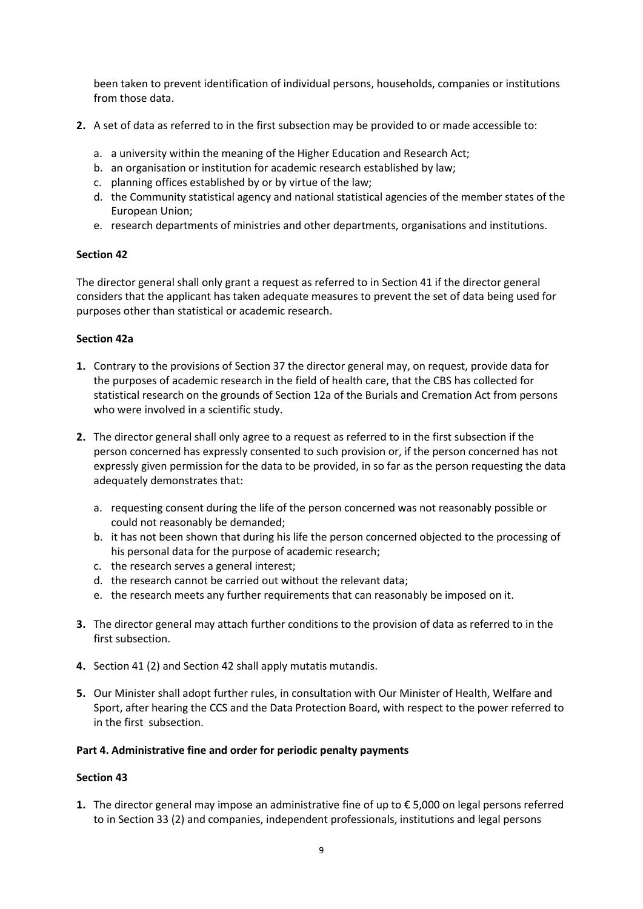been taken to prevent identification of individual persons, households, companies or institutions from those data.

- **2.** A set of data as referred to in the first subsection may be provided to or made accessible to:
	- a. a university within the meaning of the Higher Education and Research Act;
	- b. an organisation or institution for academic research established by law;
	- c. planning offices established by or by virtue of the law;
	- d. the Community statistical agency and national statistical agencies of the member states of the European Union;
	- e. research departments of ministries and other departments, organisations and institutions.

### **Section 42**

The director general shall only grant a request as referred to in Section 41 if the director general considers that the applicant has taken adequate measures to prevent the set of data being used for purposes other than statistical or academic research.

### **Section 42a**

- **1.** Contrary to the provisions of Section 37 the director general may, on request, provide data for the purposes of academic research in the field of health care, that the CBS has collected for statistical research on the grounds of Section 12a of the Burials and Cremation Act from persons who were involved in a scientific study.
- **2.** The director general shall only agree to a request as referred to in the first subsection if the person concerned has expressly consented to such provision or, if the person concerned has not expressly given permission for the data to be provided, in so far as the person requesting the data adequately demonstrates that:
	- a. requesting consent during the life of the person concerned was not reasonably possible or could not reasonably be demanded;
	- b. it has not been shown that during his life the person concerned objected to the processing of his personal data for the purpose of academic research;
	- c. the research serves a general interest;
	- d. the research cannot be carried out without the relevant data;
	- e. the research meets any further requirements that can reasonably be imposed on it.
- **3.** The director general may attach further conditions to the provision of data as referred to in the first subsection.
- **4.** Section 41 (2) and Section 42 shall apply mutatis mutandis.
- **5.** Our Minister shall adopt further rules, in consultation with Our Minister of Health, Welfare and Sport, after hearing the CCS and the Data Protection Board, with respect to the power referred to in the first subsection.

### **Part 4. Administrative fine and order for periodic penalty payments**

### **Section 43**

**1.** The director general may impose an administrative fine of up to € 5,000 on legal persons referred to in Section 33 (2) and companies, independent professionals, institutions and legal persons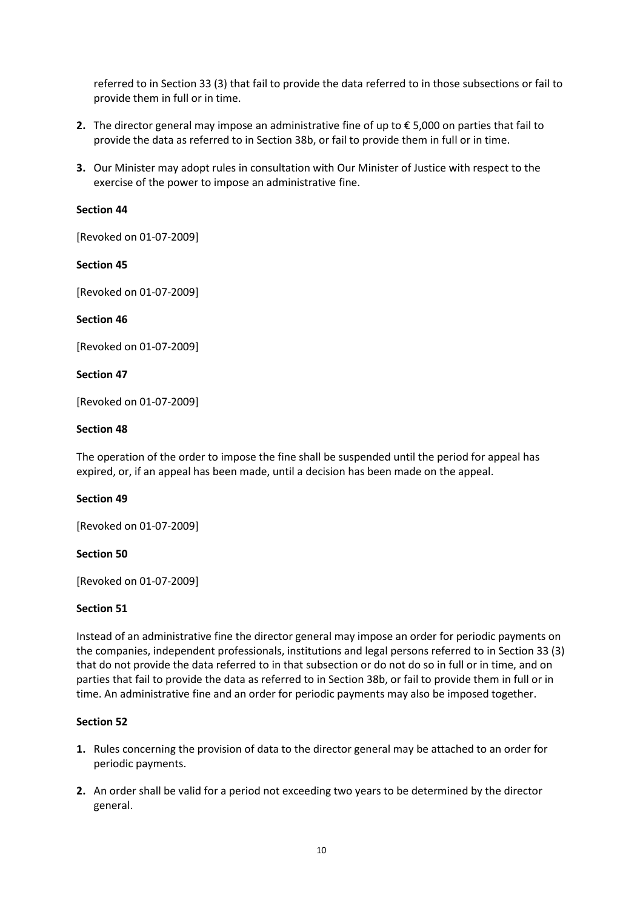referred to in Section 33 (3) that fail to provide the data referred to in those subsections or fail to provide them in full or in time.

- **2.** The director general may impose an administrative fine of up to € 5,000 on parties that fail to provide the data as referred to in Section 38b, or fail to provide them in full or in time.
- **3.** Our Minister may adopt rules in consultation with Our Minister of Justice with respect to the exercise of the power to impose an administrative fine.

### **Section 44**

[Revoked on 01-07-2009]

### **Section 45**

[Revoked on 01-07-2009]

### **Section 46**

[Revoked on 01-07-2009]

### **Section 47**

[Revoked on 01-07-2009]

### **Section 48**

The operation of the order to impose the fine shall be suspended until the period for appeal has expired, or, if an appeal has been made, until a decision has been made on the appeal.

# **Section 49**

[Revoked on 01-07-2009]

### **Section 50**

[Revoked on 01-07-2009]

### **Section 51**

Instead of an administrative fine the director general may impose an order for periodic payments on the companies, independent professionals, institutions and legal persons referred to in Section 33 (3) that do not provide the data referred to in that subsection or do not do so in full or in time, and on parties that fail to provide the data as referred to in Section 38b, or fail to provide them in full or in time. An administrative fine and an order for periodic payments may also be imposed together.

- **1.** Rules concerning the provision of data to the director general may be attached to an order for periodic payments.
- **2.** An order shall be valid for a period not exceeding two years to be determined by the director general.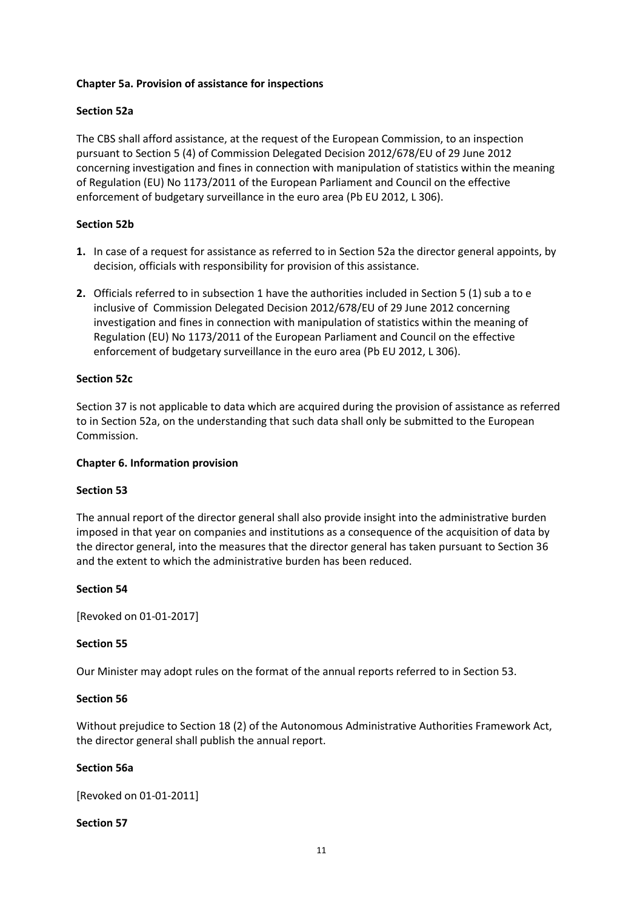### **Chapter 5a. Provision of assistance for inspections**

## **Section 52a**

The CBS shall afford assistance, at the request of the European Commission, to an inspection pursuant to Section 5 (4) of Commission Delegated Decision 2012/678/EU of 29 June 2012 concerning investigation and fines in connection with manipulation of statistics within the meaning of Regulation (EU) No 1173/2011 of the European Parliament and Council on the effective enforcement of budgetary surveillance in the euro area (Pb EU 2012, L 306).

## **Section 52b**

- **1.** In case of a request for assistance as referred to in Section 52a the director general appoints, by decision, officials with responsibility for provision of this assistance.
- **2.** Officials referred to in subsection 1 have the authorities included in Section 5 (1) sub a to e inclusive of Commission Delegated Decision 2012/678/EU of 29 June 2012 concerning investigation and fines in connection with manipulation of statistics within the meaning of Regulation (EU) No 1173/2011 of the European Parliament and Council on the effective enforcement of budgetary surveillance in the euro area (Pb EU 2012, L 306).

### **Section 52c**

Section 37 is not applicable to data which are acquired during the provision of assistance as referred to in Section 52a, on the understanding that such data shall only be submitted to the European Commission.

### **Chapter 6. Information provision**

### **Section 53**

The annual report of the director general shall also provide insight into the administrative burden imposed in that year on companies and institutions as a consequence of the acquisition of data by the director general, into the measures that the director general has taken pursuant to Section 36 and the extent to which the administrative burden has been reduced.

### **Section 54**

[Revoked on 01-01-2017]

### **Section 55**

Our Minister may adopt rules on the format of the annual reports referred to in Section 53.

### **Section 56**

Without prejudice to Section 18 (2) of the Autonomous Administrative Authorities Framework Act, the director general shall publish the annual report.

### **Section 56a**

[Revoked on 01-01-2011]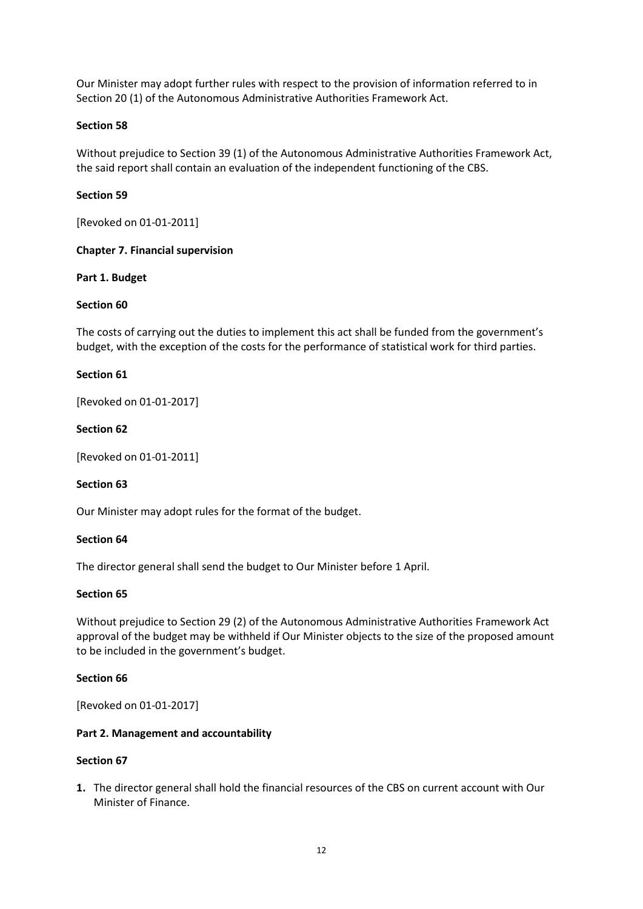Our Minister may adopt further rules with respect to the provision of information referred to in Section 20 (1) of the Autonomous Administrative Authorities Framework Act.

### **Section 58**

Without prejudice to Section 39 (1) of the Autonomous Administrative Authorities Framework Act, the said report shall contain an evaluation of the independent functioning of the CBS.

### **Section 59**

[Revoked on 01-01-2011]

### **Chapter 7. Financial supervision**

### **Part 1. Budget**

### **Section 60**

The costs of carrying out the duties to implement this act shall be funded from the government's budget, with the exception of the costs for the performance of statistical work for third parties.

### **Section 61**

[Revoked on 01-01-2017]

### **Section 62**

[Revoked on 01-01-2011]

### **Section 63**

Our Minister may adopt rules for the format of the budget.

### **Section 64**

The director general shall send the budget to Our Minister before 1 April.

### **Section 65**

Without prejudice to Section 29 (2) of the Autonomous Administrative Authorities Framework Act approval of the budget may be withheld if Our Minister objects to the size of the proposed amount to be included in the government's budget.

### **Section 66**

[Revoked on 01-01-2017]

### **Part 2. Management and accountability**

### **Section 67**

**1.** The director general shall hold the financial resources of the CBS on current account with Our Minister of Finance.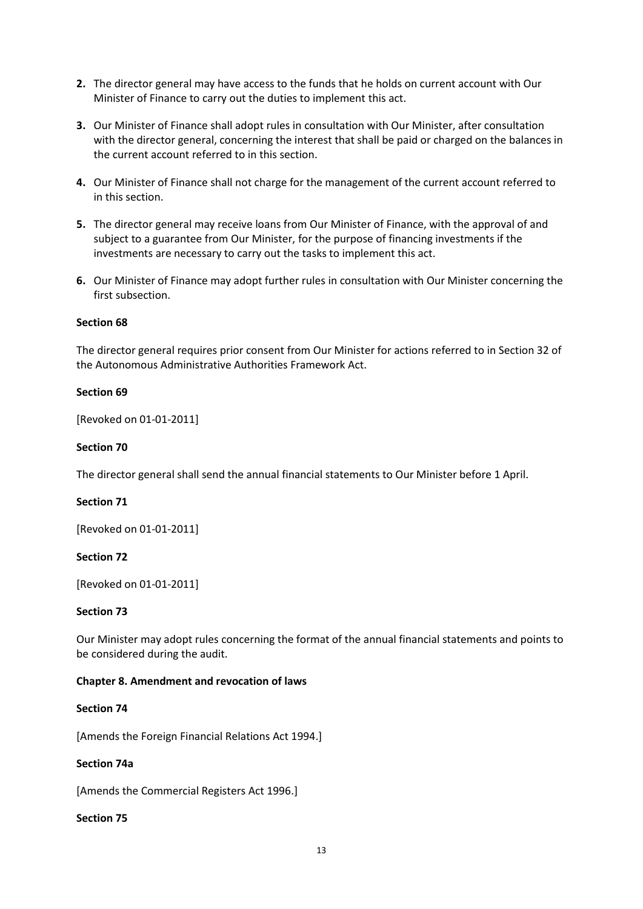- **2.** The director general may have access to the funds that he holds on current account with Our Minister of Finance to carry out the duties to implement this act.
- **3.** Our Minister of Finance shall adopt rules in consultation with Our Minister, after consultation with the director general, concerning the interest that shall be paid or charged on the balances in the current account referred to in this section.
- **4.** Our Minister of Finance shall not charge for the management of the current account referred to in this section.
- **5.** The director general may receive loans from Our Minister of Finance, with the approval of and subject to a guarantee from Our Minister, for the purpose of financing investments if the investments are necessary to carry out the tasks to implement this act.
- **6.** Our Minister of Finance may adopt further rules in consultation with Our Minister concerning the first subsection.

### **Section 68**

The director general requires prior consent from Our Minister for actions referred to in Section 32 of the Autonomous Administrative Authorities Framework Act.

### **Section 69**

[Revoked on 01-01-2011]

#### **Section 70**

The director general shall send the annual financial statements to Our Minister before 1 April.

### **Section 71**

[Revoked on 01-01-2011]

### **Section 72**

[Revoked on 01-01-2011]

#### **Section 73**

Our Minister may adopt rules concerning the format of the annual financial statements and points to be considered during the audit.

#### **Chapter 8. Amendment and revocation of laws**

#### **Section 74**

[Amends the Foreign Financial Relations Act 1994.]

#### **Section 74a**

[Amends the Commercial Registers Act 1996.]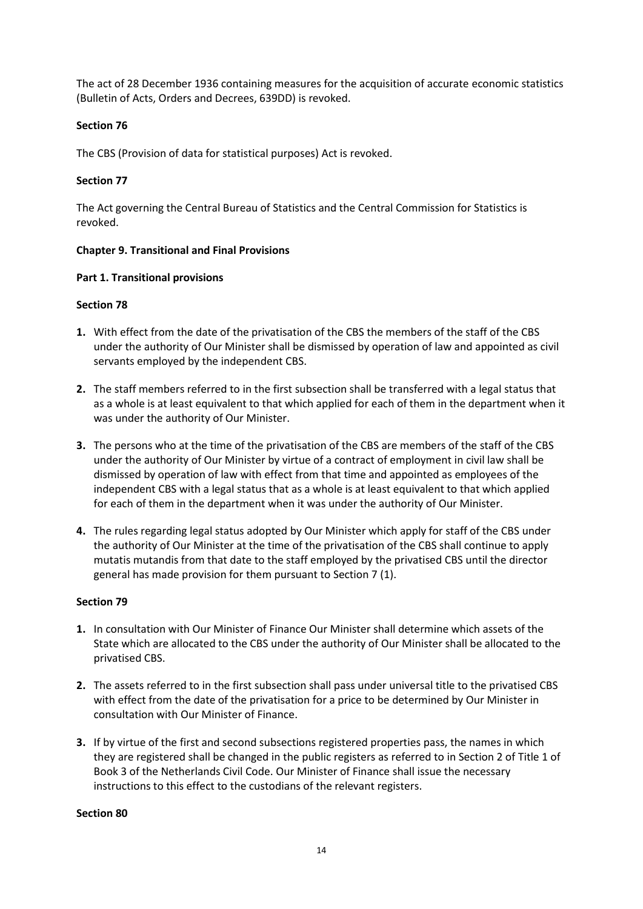The act of 28 December 1936 containing measures for the acquisition of accurate economic statistics (Bulletin of Acts, Orders and Decrees, 639DD) is revoked.

## **Section 76**

The CBS (Provision of data for statistical purposes) Act is revoked.

## **Section 77**

The Act governing the Central Bureau of Statistics and the Central Commission for Statistics is revoked.

### **Chapter 9. Transitional and Final Provisions**

### **Part 1. Transitional provisions**

### **Section 78**

- **1.** With effect from the date of the privatisation of the CBS the members of the staff of the CBS under the authority of Our Minister shall be dismissed by operation of law and appointed as civil servants employed by the independent CBS.
- **2.** The staff members referred to in the first subsection shall be transferred with a legal status that as a whole is at least equivalent to that which applied for each of them in the department when it was under the authority of Our Minister.
- **3.** The persons who at the time of the privatisation of the CBS are members of the staff of the CBS under the authority of Our Minister by virtue of a contract of employment in civil law shall be dismissed by operation of law with effect from that time and appointed as employees of the independent CBS with a legal status that as a whole is at least equivalent to that which applied for each of them in the department when it was under the authority of Our Minister.
- **4.** The rules regarding legal status adopted by Our Minister which apply for staff of the CBS under the authority of Our Minister at the time of the privatisation of the CBS shall continue to apply mutatis mutandis from that date to the staff employed by the privatised CBS until the director general has made provision for them pursuant to Section 7 (1).

### **Section 79**

- **1.** In consultation with Our Minister of Finance Our Minister shall determine which assets of the State which are allocated to the CBS under the authority of Our Minister shall be allocated to the privatised CBS.
- **2.** The assets referred to in the first subsection shall pass under universal title to the privatised CBS with effect from the date of the privatisation for a price to be determined by Our Minister in consultation with Our Minister of Finance.
- **3.** If by virtue of the first and second subsections registered properties pass, the names in which they are registered shall be changed in the public registers as referred to in Section 2 of Title 1 of Book 3 of the Netherlands Civil Code. Our Minister of Finance shall issue the necessary instructions to this effect to the custodians of the relevant registers.